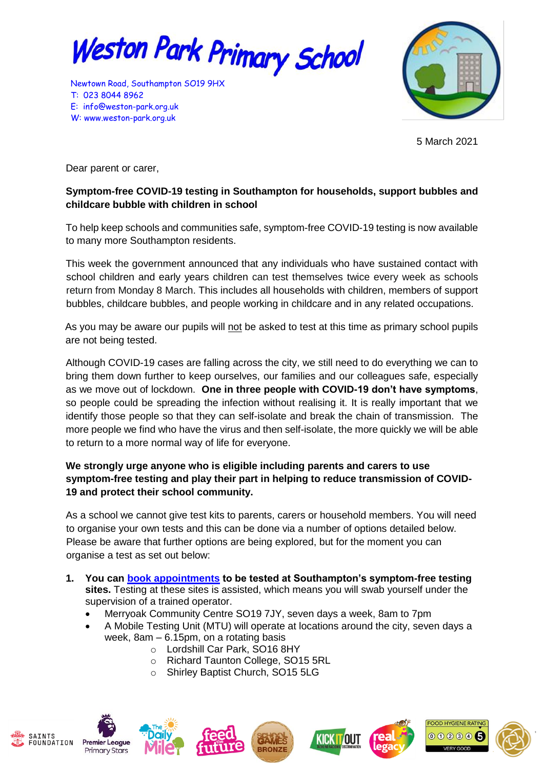

Newtown Road, Southampton SO19 9HX T: 023 8044 8962 E: [info@weston-park.org.uk](mailto:info@weston-park.org.uk) W: [www.weston-park.org.uk](http://www.weston-park.org.uk/)



5 March 2021

Dear parent or carer,

## **Symptom-free COVID-19 testing in Southampton for households, support bubbles and childcare bubble with children in school**

To help keep schools and communities safe, symptom-free COVID-19 testing is now available to many more Southampton residents.

This week the government announced that any individuals who have sustained contact with school children and early years children can test themselves twice every week as schools return from Monday 8 March. This includes all households with children, members of support bubbles, childcare bubbles, and people working in childcare and in any related occupations.

As you may be aware our pupils will not be asked to test at this time as primary school pupils are not being tested.

Although COVID-19 cases are falling across the city, we still need to do everything we can to bring them down further to keep ourselves, our families and our colleagues safe, especially as we move out of lockdown. **One in three people with COVID-19 don't have symptoms**, so people could be spreading the infection without realising it. It is really important that we identify those people so that they can self-isolate and break the chain of transmission. The more people we find who have the virus and then self-isolate, the more quickly we will be able to return to a more normal way of life for everyone.

## **We strongly urge anyone who is eligible including parents and carers to use symptom-free testing and play their part in helping to reduce transmission of COVID-19 and protect their school community.**

As a school we cannot give test kits to parents, carers or household members. You will need to organise your own tests and this can be done via a number of options detailed below. Please be aware that further options are being explored, but for the moment you can organise a test as set out below:

- **1. You can [book appointments](http://www.southampton.gov.uk/coronavirus-covid19/covid-testing/symptom-free-testing.aspx) to be tested at Southampton's symptom-free testing sites.** Testing at these sites is assisted, which means you will swab yourself under the supervision of a trained operator.
	- Merryoak Community Centre SO19 7JY, seven days a week, 8am to 7pm
	- A Mobile Testing Unit (MTU) will operate at locations around the city, seven days a week, 8am – 6.15pm, on a rotating basis
		- o Lordshill Car Park, SO16 8HY
		- o Richard Taunton College, SO15 5RL
		- o Shirley Baptist Church, SO15 5LG